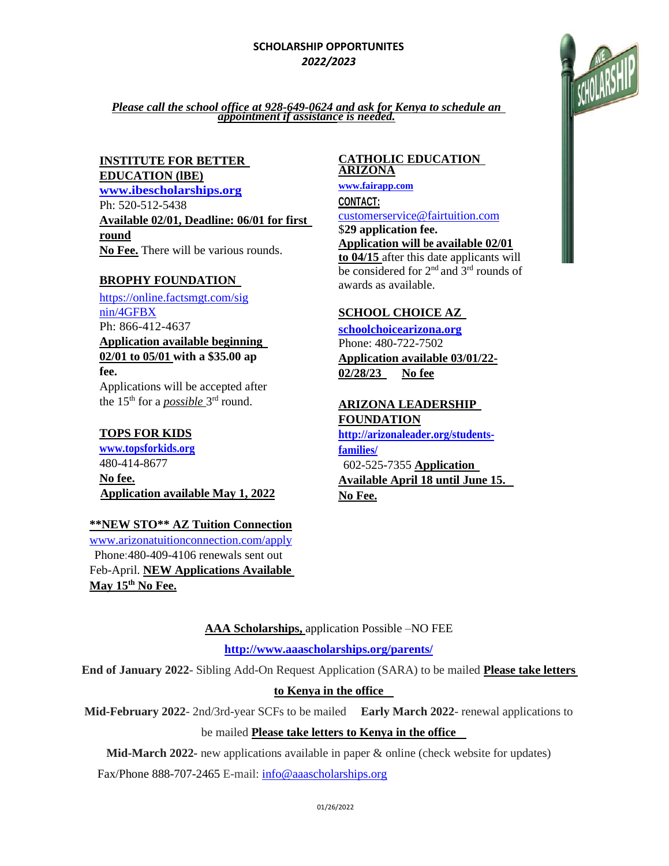### **SCHOLARSHIP OPPORTUNITES**  *2022/2023*



*Please call the school office at 928-649-0624 and ask for Kenya to schedule an appointment if assistance is needed.*

# **INSTITUTE FOR BETTER**

**EDUCATION (lBE)**

**[www.ibescholarships.org](http://www.ibescholarships.org/)** Ph: 520-512-5438 **Available 02/01, Deadline: 06/01 for first round**

**No Fee.** There will be various rounds.

### **BROPHY FOUNDATION**

[https://online.factsmgt.com/sig](https://online.factsmgt.com/signin/4GFBX) [nin/4GFBX](https://online.factsmgt.com/signin/4GFBX) Ph: 866-412-4637 **Application available beginning 02/01 to 05/01 with a \$35.00 ap fee.**

Applications will be accepted after the 15<sup>th</sup> for a *possible* 3<sup>rd</sup> round.

# **TOPS FOR KIDS**

**[www.topsforkids.org](file:///C:/Users/Judy%20Aplus/AppData/Local/Microsoft/Windows/Temporary%20Internet%20Files/Content.IE5/UQJP409P/www.topsforkids.org)** 480-414-8677 **No fee. Application available May 1, 2022**

### **\*\*NEW STO\*\* AZ Tuition Connection** [www.arizonatuitionconnection.com/apply](http://www.arizonatuitionconnection.com/apply) Phone:480-409-4106 renewals sent out Feb-April. **NEW Applications Available May 15th No Fee.**

#### **CATHOLIC EDUCATION ARIZONA**

**[www.fairapp.com](http://www.fairapp.com/) CONTACT:**

[customerservice@fairtuition.com](mailto:customerservice@fairtuition.com) \$**29 application fee.**

**Application will be available 02/01 to 04/15** after this date applicants will be considered for 2<sup>nd</sup> and  $3<sup>rd</sup>$  rounds of awards as available.

# **SCHOOL CHOICE AZ**

**[schoolchoicearizona.org](http://www.azed.gov/esa/eligibility-requirements/)** Phone: 480-722-7502 **Application available 03/01/22- 02/28/23 No fee**

**ARIZONA LEADERSHIP FOUNDATION**

**[http://arizonaleader.org/students](http://arizonaleader.org/students-families/)[families/](http://arizonaleader.org/students-families/)** 602-525-7355 **Application Available April 18 until June 15. No Fee.**

**AAA Scholarships,** application Possible –NO FEE

**[http://www.aaascholarships.org/parents/](http://www.aaascholarships.org/%09)**

**End of January 2022**- Sibling Add-On Request Application (SARA) to be mailed **Please take letters** 

# **to Kenya in the office**

**Mid-February 2022**- 2nd/3rd-year SCFs to be mailed **Early March 2022**- renewal applications to

be mailed **Please take letters to Kenya in the office** 

**Mid-March 2022-** new applications available in paper & online (check website for updates)

Fax/Phone 888-707-2465 E-mail[: info@aaascholarships.org](mailto:info@aaascholarships.org)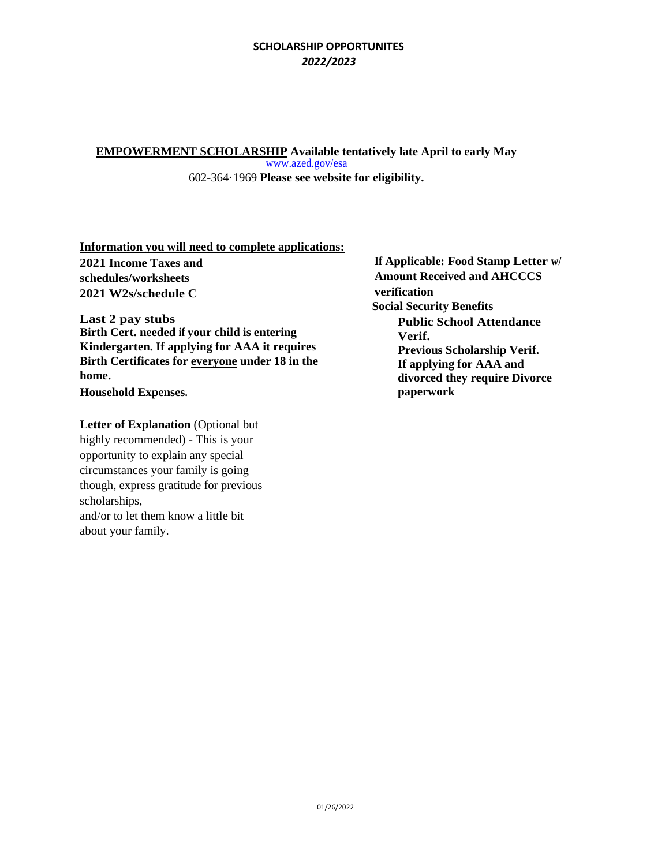#### **SCHOLARSHIP OPPORTUNITES**  *2022/2023*

**EMPOWERMENT SCHOLARSHIP Available tentatively late April to early May** [www.azed.gov/esa](file:///C:/Users/Judy%20Aplus/AppData/Local/Microsoft/Windows/Temporary%20Internet%20Files/Content.IE5/UQJP409P/www.azed.gov/esa)

602-364·1969 **Please see website for eligibility.**

**Information you will need to complete applications:**

**2021 Income Taxes and schedules/worksheets 2021 W2s/schedule C**

**Last 2 pay stubs Birth Cert. needed if your child is entering Kindergarten. If applying for AAA it requires Birth Certificates for everyone under 18 in the home. Household Expenses.** 

**Letter of Explanation** (Optional but highly recommended) - This is your opportunity to explain any special circumstances your family is going though, express gratitude for previous scholarships, and/or to let them know a little bit about your family.

**If Applicable: Food Stamp Letter w/ Amount Received and AHCCCS verification Social Security Benefits Public School Attendance Verif. Previous Scholarship Verif. If applying for AAA and divorced they require Divorce paperwork**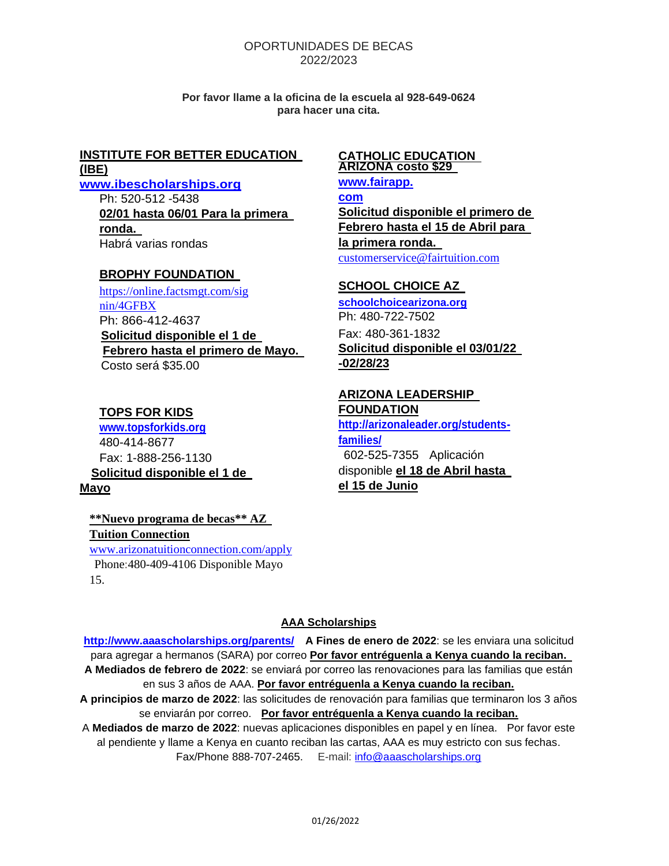#### OPORTUNIDADES DE BECAS 2022/2023

**Por favor llame a la oficina de la escuela al 928-649-0624 para hacer una cita.**

#### **INSTITUTE FOR BETTER EDUCATION (lBE)**

**[www.ibescholarships.org](http://www.ibescholarships.org/)**

Ph: 520-512 -5438 **02/01 hasta 06/01 Para la primera ronda.** Habrá varias rondas

#### **BROPHY FOUNDATION**

[https://online.factsmgt.com/sig](https://online.factsmgt.com/signin/4GFBX) [nin/4GFBX](https://online.factsmgt.com/signin/4GFBX) Ph: 866-412-4637 **Solicitud disponible el 1 de Febrero hasta el primero de Mayo.**  Costo será \$35.00

### **TOPS FOR KIDS**

**[www.topsforkids.org](file:///C:/Users/Judy%20Aplus/AppData/Local/Microsoft/Windows/Temporary%20Internet%20Files/Content.IE5/UQJP409P/www.topsforkids.org)** 480-414-8677 Fax: 1-888-256-1130  **Solicitud disponible el 1 de Mayo**

# **\*\*Nuevo programa de becas\*\* AZ Tuition Connection**

[www.arizonatuitionconnection.com/apply](http://www.arizonatuitionconnection.com/apply) Phone:480-409-4106 Disponible Mayo 15.

#### **CATHOLIC EDUCATION ARIZONA costo \$29**

**[www.fairapp.](http://www.fairapp.com/) [com](http://www.fairapp.com/) Solicitud disponible el primero de Febrero hasta el 15 de Abril para la primera ronda.** [customerservice@fairtuition.com](mailto:customerservice@fairtuition.com)

### **SCHOOL CHOICE AZ**

**[schoolchoicearizona.org](http://www.azed.gov/esa/eligibility-requirements/)** Ph: 480-722-7502 Fax: 480-361-1832 **Solicitud disponible el 03/01/22 -02/28/23**

#### **ARIZONA LEADERSHIP FOUNDATION**

**[http://arizonaleader.org/students](http://arizonaleader.org/students-families/)[families/](http://arizonaleader.org/students-families/)** 602-525-7355 Aplicación disponible **el 18 de Abril hasta el 15 de Junio**

### **AAA Scholarships**

**[http://www.aaascholarships.org/parents/](http://www.aaascholarships.org/%09) A Fines de enero de 2022**: se les enviara una solicitud para agregar a hermanos (SARA) por correo **Por favor entréguenla a Kenya cuando la reciban. A Mediados de febrero de 2022**: se enviará por correo las renovaciones para las familias que están en sus 3 años de AAA. **Por favor entréguenla a Kenya cuando la reciban. A principios de marzo de 2022**: las solicitudes de renovación para familias que terminaron los 3 años se enviarán por correo. **Por favor entréguenla a Kenya cuando la reciban.** 

A **Mediados de marzo de 2022**: nuevas aplicaciones disponibles en papel y en línea. Por favor este al pendiente y llame a Kenya en cuanto reciban las cartas, AAA es muy estricto con sus fechas. Fax/Phone 888-707-2465. E-mail: [info@aaascholarships.org](mailto:info@aaascholarships.org)